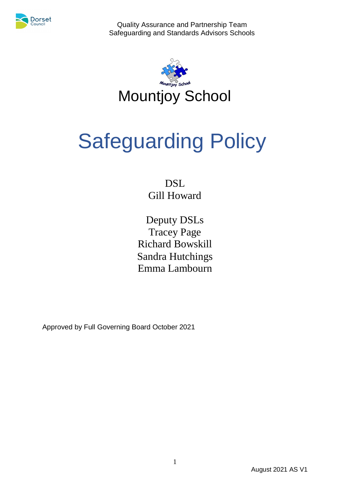



# Safeguarding Policy

DSL Gill Howard

Deputy DSLs Tracey Page Richard Bowskill Sandra Hutchings Emma Lambourn

Approved by Full Governing Board October 2021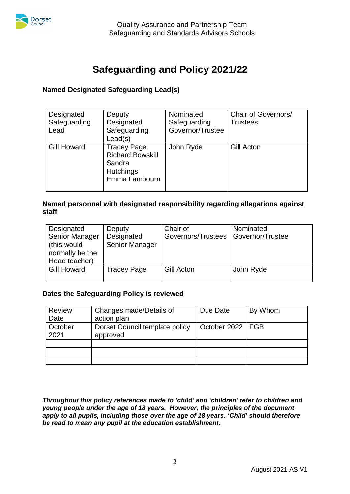

# **Safeguarding and Policy 2021/22**

# **Named Designated Safeguarding Lead(s)**

| Designated<br>Safeguarding<br>Lead | Deputy<br>Designated<br>Safeguarding<br>Lead(s)                                              | Nominated<br>Safeguarding<br>Governor/Trustee | Chair of Governors/<br><b>Trustees</b> |
|------------------------------------|----------------------------------------------------------------------------------------------|-----------------------------------------------|----------------------------------------|
| <b>Gill Howard</b>                 | <b>Tracey Page</b><br><b>Richard Bowskill</b><br>Sandra<br><b>Hutchings</b><br>Emma Lambourn | John Ryde                                     | Gill Acton                             |

# **Named personnel with designated responsibility regarding allegations against staff**

| Designated         | Deputy         | Chair of           | Nominated        |
|--------------------|----------------|--------------------|------------------|
| Senior Manager     | Designated     | Governors/Trustees | Governor/Trustee |
| (this would        | Senior Manager |                    |                  |
| normally be the    |                |                    |                  |
| Head teacher)      |                |                    |                  |
| <b>Gill Howard</b> | Tracey Page    | Gill Acton         | John Ryde        |
|                    |                |                    |                  |

# **Dates the Safeguarding Policy is reviewed**

| <b>Review</b>   | Changes made/Details of                    | Due Date           | By Whom |
|-----------------|--------------------------------------------|--------------------|---------|
| Date            | action plan                                |                    |         |
| October<br>2021 | Dorset Council template policy<br>approved | October 2022   FGB |         |
|                 |                                            |                    |         |
|                 |                                            |                    |         |
|                 |                                            |                    |         |

*Throughout this policy references made to 'child' and 'children' refer to children and young people under the age of 18 years. However, the principles of the document apply to all pupils, including those over the age of 18 years. 'Child' should therefore be read to mean any pupil at the education establishment.*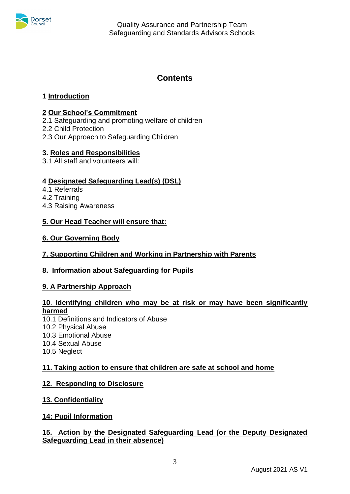

# **Contents**

# **1 Introduction**

# **2 [Our School's Commitment](#page-5-0)**

- 2.1 Safeguarding and promoting welfare of children
- 2.2 Child Protection
- 2.3 Our Approach to Safeguarding Children

# **3. [Roles and Responsibilities](#page-6-0)**

3.1 All staff and volunteers will:

# **4 Designated Safeguarding Lead(s) (DSL)**

- 4.1 Referrals
- 4.2 Training
- 4.3 Raising Awareness

# **5. Our Head Teacher will ensure that:**

# **6. Our Governing Body**

# **7. Supporting Children and Working in Partnership with Parents**

# **8. Information about Safeguarding for Pupils**

# **9. A Partnership Approach**

# **10**. **Identifying children who may be at risk or may have been significantly harmed**

- 10.1 Definitions and Indicators of Abuse
- 10.2 Physical Abuse
- 10.3 Emotional Abuse
- 10.4 Sexual Abuse
- 10.5 Neglect

# **11. Taking action to ensure that children are safe at school and home**

# **12. Responding to Disclosure**

**13. Confidentiality** 

# **14: Pupil Information**

# **15. Action by the Designated Safeguarding Lead (or the Deputy Designated Safeguarding Lead in their absence)**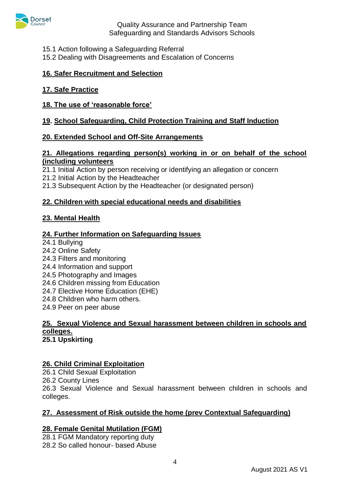

- 15.1 Action following a Safeguarding Referral
- 15.2 Dealing with Disagreements and Escalation of Concerns

# **16. Safer Recruitment and Selection**

# **17. Safe Practice**

# **18. The use of 'reasonable force'**

# **19. School Safeguarding, Child Protection Training and Staff Induction**

# **20. Extended School and Off-Site Arrangements**

#### **21. Allegations regarding person(s) working in or on behalf of the school (including volunteers**

21.1 Initial Action by person receiving or identifying an allegation or concern

- 21.2 Initial Action by the Headteacher
- 21.3 Subsequent Action by the Headteacher (or designated person)

# **22. Children with special educational needs and disabilities**

# **23. Mental Health**

# **24. Further Information on Safeguarding Issues**

- 24.1 Bullying
- 24.2 Online Safety
- 24.3 Filters and monitoring
- 24.4 Information and support
- 24.5 Photography and Images
- 24.6 Children missing from Education
- 24.7 Elective Home Education (EHE)
- 24.8 Children who harm others.
- 24.9 Peer on peer abuse

# **25. Sexual Violence and Sexual harassment between children in schools and colleges.**

**25.1 Upskirting**

# **26. Child Criminal Exploitation**

26.1 Child Sexual Exploitation 26.2 County Lines 26.3 Sexual Violence and Sexual harassment between children in schools and colleges.

# **27. Assessment of Risk outside the home (prev Contextual Safeguarding)**

# **28. Female Genital Mutilation (FGM)**

28.1 FGM Mandatory reporting duty 28.2 So called honour- based Abuse

4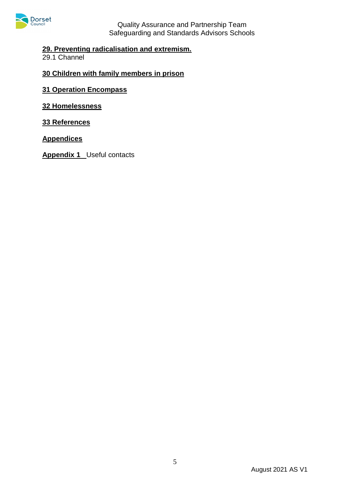

# **29. Preventing radicalisation and extremism.**

29.1 Channel

# **30 Children with family members in prison**

- **31 Operation Encompass**
- **32 Homelessness**

**33 References**

**Appendices** 

**Appendix 1** Useful contacts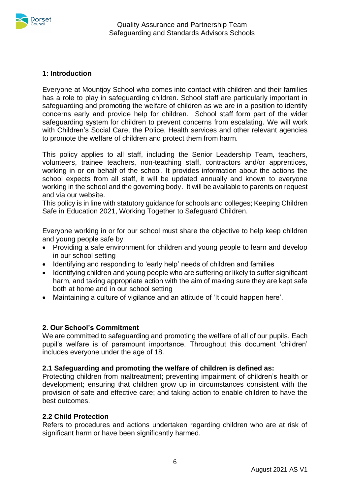

# **1: Introduction**

Everyone at Mountjoy School who comes into contact with children and their families has a role to play in safeguarding children. School staff are particularly important in safeguarding and promoting the welfare of children as we are in a position to identify concerns early and provide help for children. School staff form part of the wider safeguarding system for children to prevent concerns from escalating. We will work with Children's Social Care, the Police, Health services and other relevant agencies to promote the welfare of children and protect them from harm.

This policy applies to all staff, including the Senior Leadership Team, teachers, volunteers, trainee teachers, non-teaching staff, contractors and/or apprentices, working in or on behalf of the school. It provides information about the actions the school expects from all staff, it will be updated annually and known to everyone working in the school and the governing body. It will be available to parents on request and via our website.

This policy is in line with statutory guidance for schools and colleges; Keeping Children Safe in Education 2021, Working Together to Safeguard Children.

Everyone working in or for our school must share the objective to help keep children and young people safe by:

- Providing a safe environment for children and young people to learn and develop in our school setting
- Identifying and responding to 'early help' needs of children and families
- Identifying children and young people who are suffering or likely to suffer significant harm, and taking appropriate action with the aim of making sure they are kept safe both at home and in our school setting
- <span id="page-5-0"></span>Maintaining a culture of vigilance and an attitude of 'It could happen here'.

# **2. Our School's Commitment**

We are committed to safeguarding and promoting the welfare of all of our pupils*.* Each pupil's welfare is of paramount importance. Throughout this document 'children' includes everyone under the age of 18.

# **2.1 Safeguarding and promoting the welfare of children is defined as:**

Protecting children from maltreatment; preventing impairment of children's health or development; ensuring that children grow up in circumstances consistent with the provision of safe and effective care; and taking action to enable children to have the best outcomes.

# **2.2 Child Protection**

Refers to procedures and actions undertaken regarding children who are at risk of significant harm or have been significantly harmed.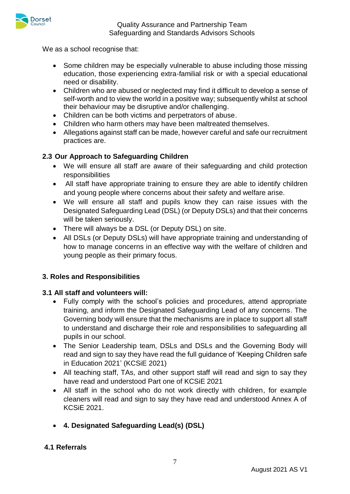

We as a school recognise that:

- Some children may be especially vulnerable to abuse including those missing education, those experiencing extra-familial risk or with a special educational need or disability.
- Children who are abused or neglected may find it difficult to develop a sense of self-worth and to view the world in a positive way; subsequently whilst at school their behaviour may be disruptive and/or challenging.
- Children can be both victims and perpetrators of abuse.
- Children who harm others may have been maltreated themselves.
- Allegations against staff can be made, however careful and safe our recruitment practices are.

# **2.3 Our Approach to Safeguarding Children**

- We will ensure all staff are aware of their safeguarding and child protection responsibilities
- All staff have appropriate training to ensure they are able to identify children and young people where concerns about their safety and welfare arise.
- We will ensure all staff and pupils know they can raise issues with the Designated Safeguarding Lead (DSL) (or Deputy DSLs) and that their concerns will be taken seriously.
- There will always be a DSL (or Deputy DSL) on site.
- All DSLs (or Deputy DSLs) will have appropriate training and understanding of how to manage concerns in an effective way with the welfare of children and young people as their primary focus.

# <span id="page-6-0"></span>**3. Roles and Responsibilities**

# **3.1 All staff and volunteers will:**

- Fully comply with the school's policies and procedures, attend appropriate training, and inform the Designated Safeguarding Lead of any concerns. The Governing body will ensure that the mechanisms are in place to support all staff to understand and discharge their role and responsibilities to safeguarding all pupils in our school.
- The Senior Leadership team, DSLs and DSLs and the Governing Body will read and sign to say they have read the full guidance of 'Keeping Children safe in Education 2021' (KCSiE 2021)
- All teaching staff, TAs, and other support staff will read and sign to say they have read and understood Part one of KCSiE 2021
- All staff in the school who do not work directly with children, for example cleaners will read and sign to say they have read and understood Annex A of KCSiE 2021.
- **4. Designated Safeguarding Lead(s) (DSL)**

# **4.1 Referrals**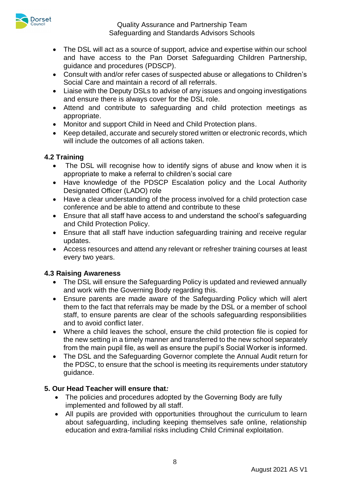

- The DSL will act as a source of support, advice and expertise within our school and have access to the Pan Dorset Safeguarding Children Partnership, guidance and procedures (PDSCP).
- Consult with and/or refer cases of suspected abuse or allegations to Children's Social Care and maintain a record of all referrals.
- Liaise with the Deputy DSLs to advise of any issues and ongoing investigations and ensure there is always cover for the DSL role.
- Attend and contribute to safeguarding and child protection meetings as appropriate.
- Monitor and support Child in Need and Child Protection plans.
- Keep detailed, accurate and securely stored written or electronic records, which will include the outcomes of all actions taken.

# **4.2 Training**

- The DSL will recognise how to identify signs of abuse and know when it is appropriate to make a referral to children's social care
- Have knowledge of the PDSCP Escalation policy and the Local Authority Designated Officer (LADO) role
- Have a clear understanding of the process involved for a child protection case conference and be able to attend and contribute to these
- Ensure that all staff have access to and understand the school's safeguarding and Child Protection Policy.
- Ensure that all staff have induction safeguarding training and receive regular updates.
- Access resources and attend any relevant or refresher training courses at least every two years.

# **4.3 Raising Awareness**

- The DSL will ensure the Safeguarding Policy is updated and reviewed annually and work with the Governing Body regarding this.
- Ensure parents are made aware of the Safeguarding Policy which will alert them to the fact that referrals may be made by the DSL or a member of school staff, to ensure parents are clear of the schools safeguarding responsibilities and to avoid conflict later.
- Where a child leaves the school, ensure the child protection file is copied for the new setting in a timely manner and transferred to the new school separately from the main pupil file, as well as ensure the pupil's Social Worker is informed.
- The DSL and the Safeguarding Governor complete the Annual Audit return for the PDSC, to ensure that the school is meeting its requirements under statutory guidance.

# **5. Our Head Teacher will ensure that***:*

- The policies and procedures adopted by the Governing Body are fully implemented and followed by all staff.
- All pupils are provided with opportunities throughout the curriculum to learn about safeguarding, including keeping themselves safe online, relationship education and extra-familial risks including Child Criminal exploitation.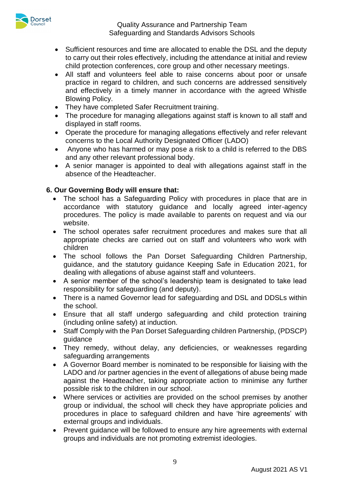

- Sufficient resources and time are allocated to enable the DSL and the deputy to carry out their roles effectively, including the attendance at initial and review child protection conferences, core group and other necessary meetings.
- All staff and volunteers feel able to raise concerns about poor or unsafe practice in regard to children, and such concerns are addressed sensitively and effectively in a timely manner in accordance with the agreed Whistle Blowing Policy.
- They have completed Safer Recruitment training.
- The procedure for managing allegations against staff is known to all staff and displayed in staff rooms.
- Operate the procedure for managing allegations effectively and refer relevant concerns to the Local Authority Designated Officer (LADO)
- Anyone who has harmed or may pose a risk to a child is referred to the DBS and any other relevant professional body.
- A senior manager is appointed to deal with allegations against staff in the absence of the Headteacher.

# **6. Our Governing Body will ensure that:**

- The school has a Safeguarding Policy with procedures in place that are in accordance with statutory guidance and locally agreed inter-agency procedures. The policy is made available to parents on request and via our website.
- The school operates safer recruitment procedures and makes sure that all appropriate checks are carried out on staff and volunteers who work with children
- The school follows the Pan Dorset Safeguarding Children Partnership, guidance, and the statutory guidance Keeping Safe in Education 2021, for dealing with allegations of abuse against staff and volunteers.
- A senior member of the school's leadership team is designated to take lead responsibility for safeguarding (and deputy).
- There is a named Governor lead for safeguarding and DSL and DDSLs within the school.
- Ensure that all staff undergo safeguarding and child protection training (including online safety) at induction.
- Staff Comply with the Pan Dorset Safeguarding children Partnership, (PDSCP) guidance
- They remedy, without delay, any deficiencies, or weaknesses regarding safeguarding arrangements
- A Governor Board member is nominated to be responsible for liaising with the LADO and /or partner agencies in the event of allegations of abuse being made against the Headteacher, taking appropriate action to minimise any further possible risk to the children in our school.
- Where services or activities are provided on the school premises by another group or individual, the school will check they have appropriate policies and procedures in place to safeguard children and have 'hire agreements' with external groups and individuals.
- Prevent guidance will be followed to ensure any hire agreements with external groups and individuals are not promoting extremist ideologies.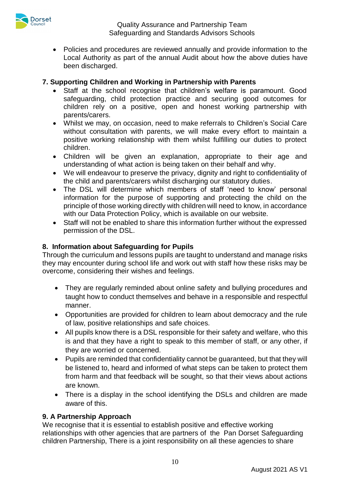

 Policies and procedures are reviewed annually and provide information to the Local Authority as part of the annual Audit about how the above duties have been discharged.

# **7. Supporting Children and Working in Partnership with Parents**

- Staff at the school recognise that children's welfare is paramount. Good safeguarding, child protection practice and securing good outcomes for children rely on a positive, open and honest working partnership with parents/carers.
- Whilst we may, on occasion, need to make referrals to Children's Social Care without consultation with parents, we will make every effort to maintain a positive working relationship with them whilst fulfilling our duties to protect children.
- Children will be given an explanation, appropriate to their age and understanding of what action is being taken on their behalf and why.
- We will endeavour to preserve the privacy, dignity and right to confidentiality of the child and parents/carers whilst discharging our statutory duties.
- The DSL will determine which members of staff 'need to know' personal information for the purpose of supporting and protecting the child on the principle of those working directly with children will need to know, in accordance with our Data Protection Policy, which is available on our website.
- Staff will not be enabled to share this information further without the expressed permission of the DSL.

# **8. Information about Safeguarding for Pupils**

Through the curriculum and lessons pupils are taught to understand and manage risks they may encounter during school life and work out with staff how these risks may be overcome, considering their wishes and feelings.

- They are regularly reminded about online safety and bullying procedures and taught how to conduct themselves and behave in a responsible and respectful manner.
- Opportunities are provided for children to learn about democracy and the rule of law, positive relationships and safe choices.
- All pupils know there is a DSL responsible for their safety and welfare, who this is and that they have a right to speak to this member of staff, or any other, if they are worried or concerned.
- Pupils are reminded that confidentiality cannot be guaranteed, but that they will be listened to, heard and informed of what steps can be taken to protect them from harm and that feedback will be sought, so that their views about actions are known.
- There is a display in the school identifying the DSLs and children are made aware of this.

# **9. A Partnership Approach**

We recognise that it is essential to establish positive and effective working relationships with other agencies that are partners of the Pan Dorset Safeguarding children Partnership, There is a joint responsibility on all these agencies to share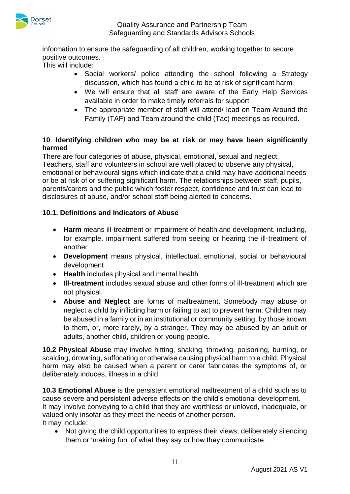

information to ensure the safeguarding of all children, working together to secure positive outcomes.

This will include:

- Social workers/ police attending the school following a Strategy discussion, which has found a child to be at risk of significant harm.
- We will ensure that all staff are aware of the Early Help Services available in order to make timely referrals for support
- The appropriate member of staff will attend/ lead on Team Around the Family (TAF) and Team around the child (Tac) meetings as required.

# **10**. **Identifying children who may be at risk or may have been significantly harmed**

There are four categories of abuse, physical, emotional, sexual and neglect. Teachers, staff and volunteers in school are well placed to observe any physical, emotional or behavioural signs which indicate that a child may have additional needs or be at risk of or suffering significant harm. The relationships between staff, pupils, parents/carers and the public which foster respect, confidence and trust can lead to disclosures of abuse, and/or school staff being alerted to concerns.

# **10.1. Definitions and Indicators of Abuse**

- **Harm** means ill-treatment or impairment of health and development, including, for example, impairment suffered from seeing or hearing the ill-treatment of another
- **Development** means physical, intellectual, emotional, social or behavioural development
- **Health** includes physical and mental health
- **Ill-treatment** includes sexual abuse and other forms of ill-treatment which are not physical.
- **Abuse and Neglect** are forms of maltreatment. Somebody may abuse or neglect a child by inflicting harm or failing to act to prevent harm. Children may be abused in a family or in an institutional or community setting, by those known to them, or, more rarely, by a stranger. They may be abused by an adult or adults, another child, children or young people.

**10.2 Physical Abuse** may involve hitting, shaking, throwing, poisoning, burning, or scalding, drowning, suffocating or otherwise causing physical harm to a child. Physical harm may also be caused when a parent or carer fabricates the symptoms of, or deliberately induces, illness in a child.

**10.3 Emotional Abuse** is the persistent emotional maltreatment of a child such as to cause severe and persistent adverse effects on the child's emotional development. It may involve conveying to a child that they are worthless or unloved, inadequate, or valued only insofar as they meet the needs of another person. It may include:

• Not giving the child opportunities to express their views, deliberately silencing them or 'making fun' of what they say or how they communicate.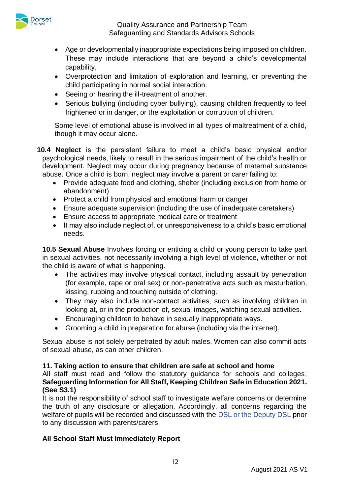

- Age or developmentally inappropriate expectations being imposed on children. These may include interactions that are beyond a child's developmental capability,
- Overprotection and limitation of exploration and learning, or preventing the child participating in normal social interaction.
- Seeing or hearing the ill-treatment of another.
- Serious bullying (including cyber bullying), causing children frequently to feel frightened or in danger, or the exploitation or corruption of children.

Some level of emotional abuse is involved in all types of maltreatment of a child, though it may occur alone.

 **10.4 Neglect** is the persistent failure to meet a child's basic physical and/or psychological needs, likely to result in the serious impairment of the child's health or development. Neglect may occur during pregnancy because of maternal substance abuse. Once a child is born, neglect may involve a parent or carer failing to:

- Provide adequate food and clothing, shelter (including exclusion from home or abandonment)
- Protect a child from physical and emotional harm or danger
- Ensure adequate supervision (including the use of inadequate caretakers)
- Ensure access to appropriate medical care or treatment
- It may also include neglect of, or unresponsiveness to a child's basic emotional needs.

**10.5 Sexual Abuse** Involves forcing or enticing a child or young person to take part in sexual activities, not necessarily involving a high level of violence, whether or not the child is aware of what is happening.

- The activities may involve physical contact, including assault by penetration (for example, rape or oral sex) or non-penetrative acts such as masturbation, kissing, rubbing and touching outside of clothing.
- They may also include non-contact activities, such as involving children in looking at, or in the production of, sexual images, watching sexual activities.
- Encouraging children to behave in sexually inappropriate ways.
- Grooming a child in preparation for abuse (including via the internet).

Sexual abuse is not solely perpetrated by adult males. Women can also commit acts of sexual abuse, as can other children.

# **11. Taking action to ensure that children are safe at school and home**

All staff must read and follow the statutory guidance for schools and colleges; **Safeguarding Information for All Staff, Keeping Children Safe in Education 2021. (See S3.1)**

It is not the responsibility of school staff to investigate welfare concerns or determine the truth of any disclosure or allegation. Accordingly, all concerns regarding the welfare of pupils will be recorded and discussed with the DSL or the Deputy DSL prior to any discussion with parents/carers.

# **All School Staff Must Immediately Report**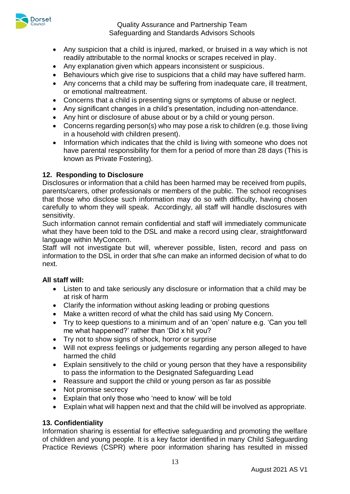

- Any suspicion that a child is injured, marked, or bruised in a way which is not readily attributable to the normal knocks or scrapes received in play.
- Any explanation given which appears inconsistent or suspicious.
- Behaviours which give rise to suspicions that a child may have suffered harm.
- Any concerns that a child may be suffering from inadequate care, ill treatment, or emotional maltreatment.
- Concerns that a child is presenting signs or symptoms of abuse or neglect.
- Any significant changes in a child's presentation, including non-attendance.
- Any hint or disclosure of abuse about or by a child or young person.
- Concerns regarding person(s) who may pose a risk to children (e.g. those living in a household with children present).
- Information which indicates that the child is living with someone who does not have parental responsibility for them for a period of more than 28 days (This is known as Private Fostering).

# **12. Responding to Disclosure**

Disclosures or information that a child has been harmed may be received from pupils, parents/carers, other professionals or members of the public. The school recognises that those who disclose such information may do so with difficulty, having chosen carefully to whom they will speak. Accordingly, all staff will handle disclosures with sensitivity.

Such information cannot remain confidential and staff will immediately communicate what they have been told to the DSL and make a record using clear, straightforward language within MyConcern.

Staff will not investigate but will, wherever possible, listen, record and pass on information to the DSL in order that s/he can make an informed decision of what to do next.

# **All staff will:**

- Listen to and take seriously any disclosure or information that a child may be at risk of harm
- Clarify the information without asking leading or probing questions
- Make a written record of what the child has said using My Concern.
- Try to keep questions to a minimum and of an 'open' nature e.g. 'Can you tell me what happened?' rather than 'Did x hit you?
- Try not to show signs of shock, horror or surprise
- Will not express feelings or judgements regarding any person alleged to have harmed the child
- Explain sensitively to the child or young person that they have a responsibility to pass the information to the Designated Safeguarding Lead
- Reassure and support the child or young person as far as possible
- Not promise secrecy
- Explain that only those who 'need to know' will be told
- Explain what will happen next and that the child will be involved as appropriate.

# **13. Confidentiality**

Information sharing is essential for effective safeguarding and promoting the welfare of children and young people. It is a key factor identified in many Child Safeguarding Practice Reviews (CSPR) where poor information sharing has resulted in missed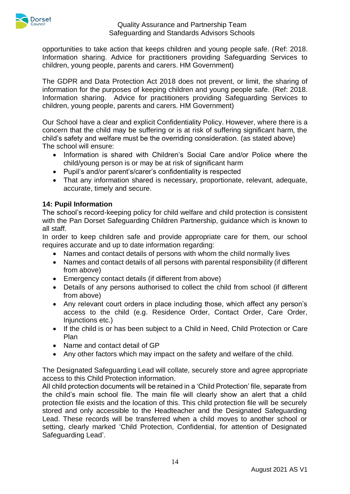

opportunities to take action that keeps children and young people safe. (Ref: 2018. Information sharing. Advice for practitioners providing Safeguarding Services to children, young people, parents and carers. HM Government)

The GDPR and Data Protection Act 2018 does not prevent, or limit, the sharing of information for the purposes of keeping children and young people safe. (Ref: 2018. Information sharing. Advice for practitioners providing Safeguarding Services to children, young people, parents and carers. HM Government)

Our School have a clear and explicit Confidentiality Policy. However, where there is a concern that the child may be suffering or is at risk of suffering significant harm, the child's safety and welfare must be the overriding consideration. (as stated above) The school will ensure:

- Information is shared with Children's Social Care and/or Police where the child/young person is or may be at risk of significant harm
- Pupil's and/or parent's/carer's confidentiality is respected
- That any information shared is necessary, proportionate, relevant, adequate, accurate, timely and secure.

# **14: Pupil Information**

The school's record-keeping policy for child welfare and child protection is consistent with the Pan Dorset Safeguarding Children Partnership, guidance which is known to all staff.

In order to keep children safe and provide appropriate care for them, our school requires accurate and up to date information regarding:

- Names and contact details of persons with whom the child normally lives
- Names and contact details of all persons with parental responsibility (if different from above)
- Emergency contact details (if different from above)
- Details of any persons authorised to collect the child from school (if different from above)
- Any relevant court orders in place including those, which affect any person's access to the child (e.g. Residence Order, Contact Order, Care Order, Injunctions etc.)
- If the child is or has been subject to a Child in Need, Child Protection or Care Plan
- Name and contact detail of GP
- Any other factors which may impact on the safety and welfare of the child.

The Designated Safeguarding Lead will collate, securely store and agree appropriate access to this Child Protection information.

All child protection documents will be retained in a 'Child Protection' file, separate from the child's main school file. The main file will clearly show an alert that a child protection file exists and the location of this. This child protection file will be securely stored and only accessible to the Headteacher and the Designated Safeguarding Lead. These records will be transferred when a child moves to another school or setting, clearly marked 'Child Protection, Confidential, for attention of Designated Safeguarding Lead'.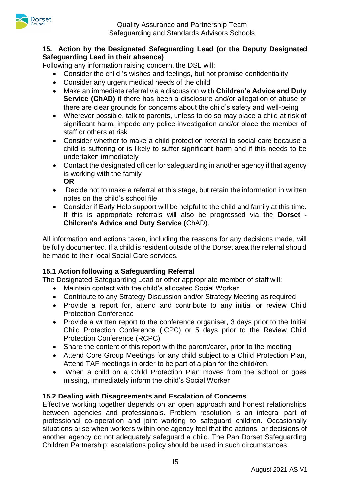

# **15. Action by the Designated Safeguarding Lead (or the Deputy Designated Safeguarding Lead in their absence)**

Following any information raising concern, the DSL will:

- Consider the child 's wishes and feelings, but not promise confidentiality
- Consider any urgent medical needs of the child
- Make an immediate referral via a discussion **with Children's Advice and Duty Service (ChAD)** if there has been a disclosure and/or allegation of abuse or there are clear grounds for concerns about the child's safety and well-being
- Wherever possible, talk to parents, unless to do so may place a child at risk of significant harm, impede any police investigation and/or place the member of staff or others at risk
- Consider whether to make a child protection referral to social care because a child is suffering or is likely to suffer significant harm and if this needs to be undertaken immediately
- Contact the designated officer for safeguarding in another agency if that agency is working with the family **OR**
- Decide not to make a referral at this stage, but retain the information in written notes on the child's school file
- Consider if Early Help support will be helpful to the child and family at this time. If this is appropriate referrals will also be progressed via the **Dorset - Children's Advice and Duty Service (**ChAD).

All information and actions taken, including the reasons for any decisions made, will be fully documented. If a child is resident outside of the Dorset area the referral should be made to their local Social Care services.

# **15.1 Action following a Safeguarding Referral**

The Designated Safeguarding Lead or other appropriate member of staff will:

- Maintain contact with the child's allocated Social Worker
- Contribute to any Strategy Discussion and/or Strategy Meeting as required
- Provide a report for, attend and contribute to any initial or review Child Protection Conference
- Provide a written report to the conference organiser, 3 days prior to the Initial Child Protection Conference (ICPC) or 5 days prior to the Review Child Protection Conference (RCPC)
- Share the content of this report with the parent/carer, prior to the meeting
- Attend Core Group Meetings for any child subject to a Child Protection Plan, Attend TAF meetings in order to be part of a plan for the child/ren.
- When a child on a Child Protection Plan moves from the school or goes missing, immediately inform the child's Social Worker

# **15.2 Dealing with Disagreements and Escalation of Concerns**

Effective working together depends on an open approach and honest relationships between agencies and professionals. Problem resolution is an integral part of professional co-operation and joint working to safeguard children. Occasionally situations arise when workers within one agency feel that the actions, or decisions of another agency do not adequately safeguard a child. The Pan Dorset Safeguarding Children Partnership; escalations policy should be used in such circumstances.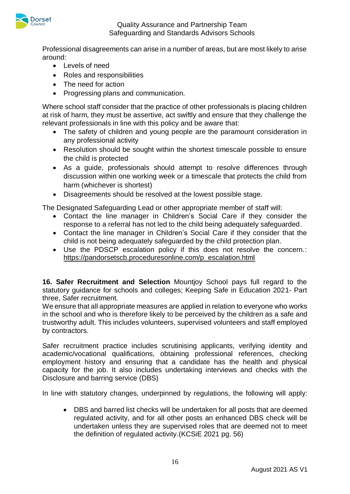

Professional disagreements can arise in a number of areas, but are most likely to arise around:

- Levels of need
- Roles and responsibilities
- The need for action
- Progressing plans and communication.

Where school staff consider that the practice of other professionals is placing children at risk of harm, they must be assertive, act swiftly and ensure that they challenge the relevant professionals in line with this policy and be aware that:

- The safety of children and young people are the paramount consideration in any professional activity
- Resolution should be sought within the shortest timescale possible to ensure the child is protected
- As a guide, professionals should attempt to resolve differences through discussion within one working week or a timescale that protects the child from harm (whichever is shortest)
- Disagreements should be resolved at the lowest possible stage.

The Designated Safeguarding Lead or other appropriate member of staff will:

- Contact the line manager in Children's Social Care if they consider the response to a referral has not led to the child being adequately safeguarded.
- Contact the line manager in Children's Social Care if they consider that the child is not being adequately safeguarded by the child protection plan.
- Use the PDSCP escalation policy if this does not resolve the concern.: [https://pandorsetscb.proceduresonline.com/p\\_escalation.html](https://pandorsetscb.proceduresonline.com/p_escalation.html)

**16. Safer Recruitment and Selection** Mountjoy School pays full regard to the statutory guidance for schools and colleges; Keeping Safe in Education 2021- Part three, Safer recruitment.

We ensure that all appropriate measures are applied in relation to everyone who works in the school and who is therefore likely to be perceived by the children as a safe and trustworthy adult. This includes volunteers, supervised volunteers and staff employed by contractors.

Safer recruitment practice includes scrutinising applicants, verifying identity and academic/vocational qualifications, obtaining professional references, checking employment history and ensuring that a candidate has the health and physical capacity for the job. It also includes undertaking interviews and checks with the Disclosure and barring service (DBS)

In line with statutory changes, underpinned by regulations, the following will apply:

 DBS and barred list checks will be undertaken for all posts that are deemed regulated activity, and for all other posts an enhanced DBS check will be undertaken unless they are supervised roles that are deemed not to meet the definition of regulated activity.(KCSiE 2021 pg. 56)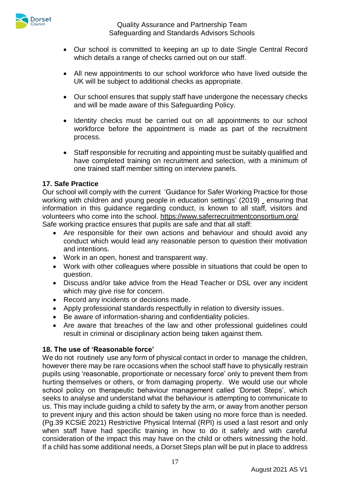

- Our school is committed to keeping an up to date Single Central Record which details a range of checks carried out on our staff.
- All new appointments to our school workforce who have lived outside the UK will be subject to additional checks as appropriate.
- Our school ensures that supply staff have undergone the necessary checks and will be made aware of this Safeguarding Policy.
- Identity checks must be carried out on all appointments to our school workforce before the appointment is made as part of the recruitment process.
- Staff responsible for recruiting and appointing must be suitably qualified and have completed training on recruitment and selection, with a minimum of one trained staff member sitting on interview panels.

# **17. Safe Practice**

Our school will comply with the current ['Guidance for Safer Working Practice for those](http://www.safeguardinginschools.co.uk/wp-content/uploads/2015/10/Guidance-for-Safer-Working-Practices-2015-final1.pdf)  [working with children and young people in education settings'](http://www.safeguardinginschools.co.uk/wp-content/uploads/2015/10/Guidance-for-Safer-Working-Practices-2015-final1.pdf) (2019) ensuring that information in this guidance regarding conduct, is known to all staff, visitors and volunteers who come into the school.<https://www.saferrecruitmentconsortium.org/> Safe working practice ensures that pupils are safe and that all staff:

- Are responsible for their own actions and behaviour and should avoid any conduct which would lead any reasonable person to question their motivation and intentions.
- Work in an open, honest and transparent way.
- Work with other colleagues where possible in situations that could be open to question.
- Discuss and/or take advice from the Head Teacher or DSL over any incident which may give rise for concern.
- Record any incidents or decisions made.
- Apply professional standards respectfully in relation to diversity issues.
- Be aware of information-sharing and confidentiality policies.
- Are aware that breaches of the law and other professional guidelines could result in criminal or disciplinary action being taken against them.

# **18. The use of 'Reasonable force'**

We do not routinely use any form of physical contact in order to manage the children, however there may be rare occasions when the school staff have to physically restrain pupils using 'reasonable, proportionate or necessary force' only to prevent them from hurting themselves or others, or from damaging property. We would use our whole school policy on therapeutic behaviour management called 'Dorset Steps', which seeks to analyse and understand what the behaviour is attempting to communicate to us. This may include guiding a child to safety by the arm, or away from another person to prevent injury and this action should be taken using no more force than is needed. (Pg.39 KCSiE 2021) Restrictive Physical Internal (RPI) is used a last resort and only when staff have had specific training in how to do it safely and with careful consideration of the impact this may have on the child or others witnessing the hold. If a child has some additional needs, a Dorset Steps plan will be put in place to address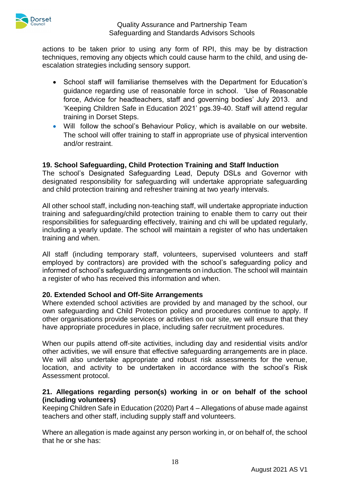

actions to be taken prior to using any form of RPI, this may be by distraction techniques, removing any objects which could cause harm to the child, and using deescalation strategies including sensory support.

- School staff will familiarise themselves with the Department for Education's guidance regarding use of reasonable force in school. 'Use of Reasonable force, Advice for headteachers, staff and governing bodies' July 2013. and 'Keeping Children Safe in Education 2021' pgs.39-40. Staff will attend regular training in Dorset Steps.
- Will follow the school's Behaviour Policy, which is available on our website. The school will offer training to staff in appropriate use of physical intervention and/or restraint.

# **19. School Safeguarding, Child Protection Training and Staff Induction**

The school's Designated Safeguarding Lead, Deputy DSLs and Governor with designated responsibility for safeguarding will undertake appropriate safeguarding and child protection training and refresher training at two yearly intervals.

All other school staff, including non-teaching staff, will undertake appropriate induction training and safeguarding/child protection training to enable them to carry out their responsibilities for safeguarding effectively, training and chi will be updated regularly, including a yearly update. The school will maintain a register of who has undertaken training and when.

All staff (including temporary staff, volunteers, supervised volunteers and staff employed by contractors) are provided with the school's safeguarding policy and informed of school's safeguarding arrangements on induction. The school will maintain a register of who has received this information and when.

# **20. Extended School and Off-Site Arrangements**

Where extended school activities are provided by and managed by the school, our own safeguarding and Child Protection policy and procedures continue to apply. If other organisations provide services or activities on our site, we will ensure that they have appropriate procedures in place, including safer recruitment procedures.

When our pupils attend off-site activities, including day and residential visits and/or other activities, we will ensure that effective safeguarding arrangements are in place. We will also undertake appropriate and robust risk assessments for the venue, location, and activity to be undertaken in accordance with the school's Risk Assessment protocol.

#### **21. Allegations regarding person(s) working in or on behalf of the school (including volunteers)**

Keeping Children Safe in Education (2020) Part 4 – Allegations of abuse made against teachers and other staff, including supply staff and volunteers.

Where an allegation is made against any person working in, or on behalf of, the school that he or she has: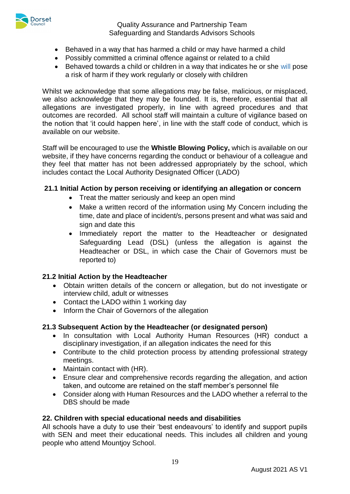

- Behaved in a way that has harmed a child or may have harmed a child
- Possibly committed a criminal offence against or related to a child
- Behaved towards a child or children in a way that indicates he or she will pose a risk of harm if they work regularly or closely with children

Whilst we acknowledge that some allegations may be false, malicious, or misplaced, we also acknowledge that they may be founded. It is, therefore, essential that all allegations are investigated properly, in line with agreed procedures and that outcomes are recorded. All school staff will maintain a culture of vigilance based on the notion that 'it could happen here', in line with the staff code of conduct, which is available on our website.

Staff will be encouraged to use the **Whistle Blowing Policy,** which is available on our website, if they have concerns regarding the conduct or behaviour of a colleague and they feel that matter has not been addressed appropriately by the school, which includes contact the Local Authority Designated Officer (LADO)

# **21.1 Initial Action by person receiving or identifying an allegation or concern**

- Treat the matter seriously and keep an open mind
- Make a written record of the information using My Concern including the time, date and place of incident/s, persons present and what was said and sign and date this
- Immediately report the matter to the Headteacher or designated Safeguarding Lead (DSL) (unless the allegation is against the Headteacher or DSL, in which case the Chair of Governors must be reported to)

# **21.2 Initial Action by the Headteacher**

- Obtain written details of the concern or allegation, but do not investigate or interview child, adult or witnesses
- Contact the LADO within 1 working day
- Inform the Chair of Governors of the allegation

# **21.3 Subsequent Action by the Headteacher (or designated person)**

- In consultation with Local Authority Human Resources (HR) conduct a disciplinary investigation, if an allegation indicates the need for this
- Contribute to the child protection process by attending professional strategy meetings.
- Maintain contact with (HR).
- Ensure clear and comprehensive records regarding the allegation, and action taken, and outcome are retained on the staff member's personnel file
- Consider along with Human Resources and the LADO whether a referral to the DBS should be made

# **22. Children with special educational needs and disabilities**

All schools have a duty to use their 'best endeavours' to identify and support pupils with SEN and meet their educational needs. This includes all children and young people who attend Mountjoy School.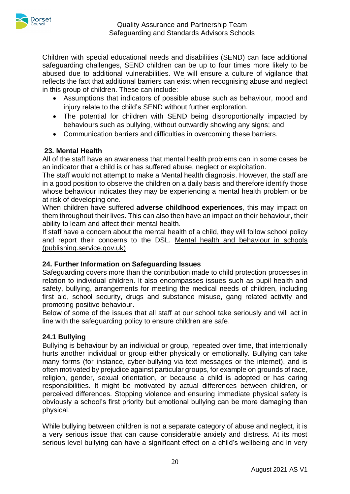

Children with special educational needs and disabilities (SEND) can face additional safeguarding challenges, SEND children can be up to four times more likely to be abused due to additional vulnerabilities. We will ensure a culture of vigilance that reflects the fact that additional barriers can exist when recognising abuse and neglect in this group of children. These can include:

- Assumptions that indicators of possible abuse such as behaviour, mood and injury relate to the child's SEND without further exploration.
- The potential for children with SEND being disproportionally impacted by behaviours such as bullying, without outwardly showing any signs; and
- Communication barriers and difficulties in overcoming these barriers.

# **23. Mental Health**

All of the staff have an awareness that mental health problems can in some cases be an indicator that a child is or has suffered abuse, neglect or exploitation.

The staff would not attempt to make a Mental health diagnosis. However, the staff are in a good position to observe the children on a daily basis and therefore identify those whose behaviour indicates they may be experiencing a mental health problem or be at risk of developing one.

When children have suffered **adverse childhood experiences**, this may impact on them throughout their lives. This can also then have an impact on their behaviour, their ability to learn and affect their mental health.

If staff have a concern about the mental health of a child, they will follow school policy and report their concerns to the DSL. [Mental health and behaviour in schools](https://assets.publishing.service.gov.uk/government/uploads/system/uploads/attachment_data/file/755135/Mental_health_and_behaviour_in_schools__.pdf)  [\(publishing.service.gov.uk\)](https://assets.publishing.service.gov.uk/government/uploads/system/uploads/attachment_data/file/755135/Mental_health_and_behaviour_in_schools__.pdf)

# **24. Further Information on Safeguarding Issues**

Safeguarding covers more than the contribution made to child protection processes in relation to individual children. It also encompasses issues such as pupil health and safety, bullying, arrangements for meeting the medical needs of children, including first aid, school security, drugs and substance misuse, gang related activity and promoting positive behaviour.

Below of some of the issues that all staff at our school take seriously and will act in line with the safeguarding policy to ensure children are safe.

# **24.1 Bullying**

Bullying is behaviour by an individual or group, repeated over time, that intentionally hurts another individual or group either physically or emotionally. Bullying can take many forms (for instance, cyber-bullying via text messages or the internet), and is often motivated by prejudice against particular groups, for example on grounds of race, religion, gender, sexual orientation, or because a child is adopted or has caring responsibilities. It might be motivated by actual differences between children, or perceived differences. Stopping violence and ensuring immediate physical safety is obviously a school's first priority but emotional bullying can be more damaging than physical.

While bullying between children is not a separate category of abuse and neglect, it is a very serious issue that can cause considerable anxiety and distress. At its most serious level bullying can have a significant effect on a child's wellbeing and in very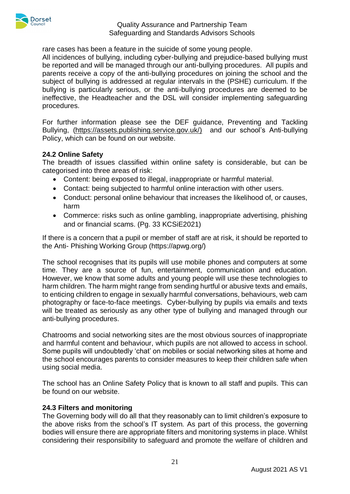

rare cases has been a feature in the suicide of some young people.

All incidences of bullying, including cyber-bullying and prejudice-based bullying must be reported and will be managed through our anti-bullying procedures. All pupils and parents receive a copy of the anti-bullying procedures on joining the school and the subject of bullying is addressed at regular intervals in the (PSHE) curriculum. If the bullying is particularly serious, or the anti-bullying procedures are deemed to be ineffective, the Headteacher and the DSL will consider implementing safeguarding procedures.

For further information please see the DEF guidance, Preventing and Tackling Bullying, [\(https://assets.publishing.service.gov.uk/\)](https://assets.publishing.service.gov.uk/) and our school's Anti-bullying Policy, which can be found on our website.

# **24.2 Online Safety**

The breadth of issues classified within online safety is considerable, but can be categorised into three areas of risk:

- Content: being exposed to illegal, inappropriate or harmful material.
- Contact: being subjected to harmful online interaction with other users.
- Conduct: personal online behaviour that increases the likelihood of, or causes, harm
- Commerce: risks such as online gambling, inappropriate advertising, phishing and or financial scams. (Pg. 33 KCSiE2021)

If there is a concern that a pupil or member of staff are at risk, it should be reported to the Anti- Phishing Working Group (https://apwg.org/)

The school recognises that its pupils will use mobile phones and computers at some time. They are a source of fun, entertainment, communication and education. However, we know that some adults and young people will use these technologies to harm children. The harm might range from sending hurtful or abusive texts and emails, to enticing children to engage in sexually harmful conversations, behaviours, web cam photography or face-to-face meetings. Cyber-bullying by pupils via emails and texts will be treated as seriously as any other type of bullying and managed through our anti-bullying procedures.

Chatrooms and social networking sites are the most obvious sources of inappropriate and harmful content and behaviour, which pupils are not allowed to access in school. Some pupils will undoubtedly 'chat' on mobiles or social networking sites at home and the school encourages parents to consider measures to keep their children safe when using social media.

The school has an Online Safety Policy that is known to all staff and pupils. This can be found on our website.

# **24.3 Filters and monitoring**

The Governing body will do all that they reasonably can to limit children's exposure to the above risks from the school's IT system. As part of this process, the governing bodies will ensure there are appropriate filters and monitoring systems in place. Whilst considering their responsibility to safeguard and promote the welfare of children and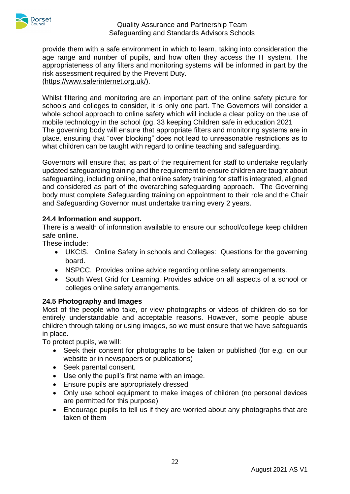

provide them with a safe environment in which to learn, taking into consideration the age range and number of pupils, and how often they access the IT system. The appropriateness of any filters and monitoring systems will be informed in part by the risk assessment required by the Prevent Duty. [\(https://www.saferinternet.org.uk/\)](https://www.saferinternet.org.uk/).

Whilst filtering and monitoring are an important part of the online safety picture for schools and colleges to consider, it is only one part. The Governors will consider a whole school approach to online safety which will include a clear policy on the use of mobile technology in the school (pg. 33 keeping Children safe in education 2021 The governing body will ensure that appropriate filters and monitoring systems are in place, ensuring that "over blocking" does not lead to unreasonable restrictions as to what children can be taught with regard to online teaching and safeguarding.

Governors will ensure that, as part of the requirement for staff to undertake regularly updated safeguarding training and the requirement to ensure children are taught about safeguarding, including online, that online safety training for staff is integrated, aligned and considered as part of the overarching safeguarding approach. The Governing body must complete Safeguarding training on appointment to their role and the Chair and Safeguarding Governor must undertake training every 2 years.

# **24.4 Information and support.**

There is a wealth of information available to ensure our school/college keep children safe online.

These include:

- UKCIS. Online Safety in schools and Colleges: Questions for the governing board.
- NSPCC. Provides online advice regarding online safety arrangements.
- South West Grid for Learning. Provides advice on all aspects of a school or colleges online safety arrangements.

# **24.5 Photography and Images**

Most of the people who take, or view photographs or videos of children do so for entirely understandable and acceptable reasons. However, some people abuse children through taking or using images, so we must ensure that we have safeguards in place.

To protect pupils, we will:

- Seek their consent for photographs to be taken or published (for e.g. on our website or in newspapers or publications)
- Seek parental consent.
- Use only the pupil's first name with an image.
- Ensure pupils are appropriately dressed
- Only use school equipment to make images of children (no personal devices are permitted for this purpose)
- Encourage pupils to tell us if they are worried about any photographs that are taken of them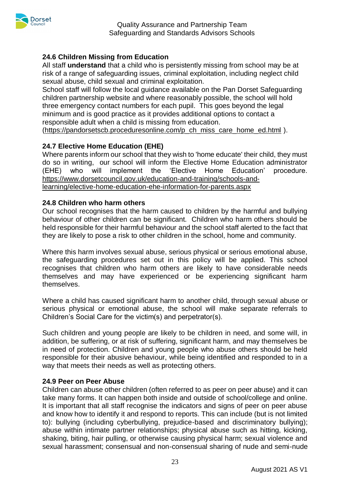

# **24.6 Children Missing from Education**

All staff **understand** that a child who is persistently missing from school may be at risk of a range of safeguarding issues, criminal exploitation, including neglect child sexual abuse, child sexual and criminal exploitation.

School staff will follow the local guidance available on the Pan Dorset Safeguarding children partnership website and where reasonably possible, the school will hold three emergency contact numbers for each pupil. This goes beyond the legal minimum and is good practice as it provides additional options to contact a responsible adult when a child is missing from education.

[\(https://pandorsetscb.proceduresonline.com/p\\_ch\\_miss\\_care\\_home\\_ed.html](https://pandorsetscb.proceduresonline.com/p_ch_miss_care_home_ed.html) ).

# **24.7 Elective Home Education (EHE)**

Where parents inform our school that they wish to 'home educate' their child, they must do so in writing, our school will inform the Elective Home Education administrator (EHE) who will implement the 'Elective Home Education' procedure. [https://www.dorsetcouncil.gov.uk/education-and-training/schools-and](https://www.dorsetcouncil.gov.uk/education-and-training/schools-and-learning/elective-home-education-ehe-information-for-parents.aspx)[learning/elective-home-education-ehe-information-for-parents.aspx](https://www.dorsetcouncil.gov.uk/education-and-training/schools-and-learning/elective-home-education-ehe-information-for-parents.aspx)

#### **24.8 Children who harm others**

Our school recognises that the harm caused to children by the harmful and bullying behaviour of other children can be significant. Children who harm others should be held responsible for their harmful behaviour and the school staff alerted to the fact that they are likely to pose a risk to other children in the school, home and community.

Where this harm involves sexual abuse, serious physical or serious emotional abuse, the safeguarding procedures set out in this policy will be applied. This school recognises that children who harm others are likely to have considerable needs themselves and may have experienced or be experiencing significant harm themselves.

Where a child has caused significant harm to another child, through sexual abuse or serious physical or emotional abuse, the school will make separate referrals to Children's Social Care for the victim(s) and perpetrator(s).

Such children and young people are likely to be children in need, and some will, in addition, be suffering, or at risk of suffering, significant harm, and may themselves be in need of protection. Children and young people who abuse others should be held responsible for their abusive behaviour, while being identified and responded to in a way that meets their needs as well as protecting others.

#### **24.9 Peer on Peer Abuse**

Children can abuse other children (often referred to as peer on peer abuse) and it can take many forms. It can happen both inside and outside of school/college and online. It is important that all staff recognise the indicators and signs of peer on peer abuse and know how to identify it and respond to reports. This can include (but is not limited to): bullying (including cyberbullying, prejudice-based and discriminatory bullying); abuse within intimate partner relationships; physical abuse such as hitting, kicking, shaking, biting, hair pulling, or otherwise causing physical harm; sexual violence and sexual harassment; consensual and non-consensual sharing of nude and semi-nude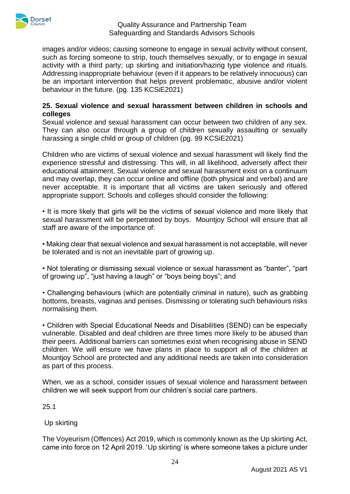

images and/or videos; causing someone to engage in sexual activity without consent, such as forcing someone to strip, touch themselves sexually, or to engage in sexual activity with a third party; up skirting and initiation/hazing type violence and rituals. Addressing inappropriate behaviour (even if it appears to be relatively innocuous) can be an important intervention that helps prevent problematic, abusive and/or violent behaviour in the future. (pg. 135 KCSiE2021)

# **25. Sexual violence and sexual harassment between children in schools and colleges**

Sexual violence and sexual harassment can occur between two children of any sex. They can also occur through a group of children sexually assaulting or sexually harassing a single child or group of children (pg. 99 KCSiE2021)

Children who are victims of sexual violence and sexual harassment will likely find the experience stressful and distressing. This will, in all likelihood, adversely affect their educational attainment. Sexual violence and sexual harassment exist on a continuum and may overlap, they can occur online and offline (both physical and verbal) and are never acceptable. It is important that all victims are taken seriously and offered appropriate support. Schools and colleges should consider the following:

• It is more likely that girls will be the victims of sexual violence and more likely that sexual harassment will be perpetrated by boys. Mountjoy School will ensure that all staff are aware of the importance of:

• Making clear that sexual violence and sexual harassment is not acceptable, will never be tolerated and is not an inevitable part of growing up.

• Not tolerating or dismissing sexual violence or sexual harassment as "banter", "part of growing up", "just having a laugh" or "boys being boys"; and

• Challenging behaviours (which are potentially criminal in nature), such as grabbing bottoms, breasts, vaginas and penises. Dismissing or tolerating such behaviours risks normalising them.

• Children with Special Educational Needs and Disabilities (SEND) can be especially vulnerable. Disabled and deaf children are three times more likely to be abused than their peers. Additional barriers can sometimes exist when recognising abuse in SEND children. We will ensure we have plans in place to support all of the children at Mountjoy School are protected and any additional needs are taken into consideration as part of this process.

When, we as a school, consider issues of sexual violence and harassment between children we will seek support from our children's social care partners.

25.1

Up skirting

The Voyeurism (Offences) Act 2019, which is commonly known as the Up skirting Act, came into force on 12 April 2019. 'Up skirting' is where someone takes a picture under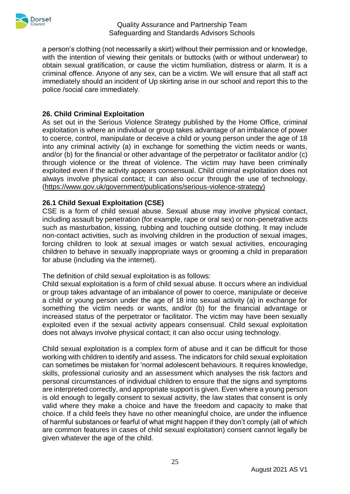

a person's clothing (not necessarily a skirt) without their permission and or knowledge, with the intention of viewing their genitals or buttocks (with or without underwear) to obtain sexual gratification, or cause the victim humiliation, distress or alarm. It is a criminal offence. Anyone of any sex, can be a victim. We will ensure that all staff act immediately should an incident of Up skirting arise in our school and report this to the police /social care immediately.

# **26. Child Criminal Exploitation**

As set out in the Serious Violence Strategy published by the Home Office, criminal exploitation is where an individual or group takes advantage of an imbalance of power to coerce, control, manipulate or deceive a child or young person under the age of 18 into any criminal activity (a) in exchange for something the victim needs or wants, and/or (b) for the financial or other advantage of the perpetrator or facilitator and/or (c) through violence or the threat of violence. The victim may have been criminally exploited even if the activity appears consensual. Child criminal exploitation does not always involve physical contact; it can also occur through the use of technology. [\(https://www.gov.uk/government/publications/serious-violence-strategy\)](https://www.gov.uk/government/publications/serious-violence-strategy)

# **26.1 Child Sexual Exploitation (CSE)**

CSE is a form of child sexual abuse. Sexual abuse may involve physical contact, including assault by penetration (for example, rape or oral sex) or non-penetrative acts such as masturbation, kissing, rubbing and touching outside clothing. It may include non-contact activities, such as involving children in the production of sexual images, forcing children to look at sexual images or watch sexual activities, encouraging children to behave in sexually inappropriate ways or grooming a child in preparation for abuse (including via the internet).

The definition of child sexual exploitation is as follows:

Child sexual exploitation is a form of child sexual abuse. It occurs where an individual or group takes advantage of an imbalance of power to coerce, manipulate or deceive a child or young person under the age of 18 into sexual activity (a) in exchange for something the victim needs or wants, and/or (b) for the financial advantage or increased status of the perpetrator or facilitator. The victim may have been sexually exploited even if the sexual activity appears consensual. Child sexual exploitation does not always involve physical contact; it can also occur using technology.

Child sexual exploitation is a complex form of abuse and it can be difficult for those working with children to identify and assess. The indicators for child sexual exploitation can sometimes be mistaken for 'normal adolescent behaviours. It requires knowledge, skills, professional curiosity and an assessment which analyses the risk factors and personal circumstances of individual children to ensure that the signs and symptoms are interpreted correctly, and appropriate support is given. Even where a young person is old enough to legally consent to sexual activity, the law states that consent is only valid where they make a choice and have the freedom and capacity to make that choice. If a child feels they have no other meaningful choice, are under the influence of harmful substances or fearful of what might happen if they don't comply (all of which are common features in cases of child sexual exploitation) consent cannot legally be given whatever the age of the child.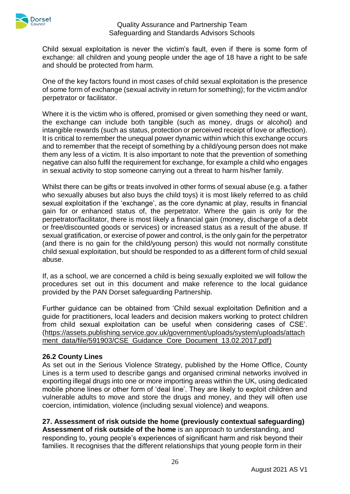

Child sexual exploitation is never the victim's fault, even if there is some form of exchange: all children and young people under the age of 18 have a right to be safe and should be protected from harm.

One of the key factors found in most cases of child sexual exploitation is the presence of some form of exchange (sexual activity in return for something); for the victim and/or perpetrator or facilitator.

Where it is the victim who is offered, promised or given something they need or want, the exchange can include both tangible (such as money, drugs or alcohol) and intangible rewards (such as status, protection or perceived receipt of love or affection). It is critical to remember the unequal power dynamic within which this exchange occurs and to remember that the receipt of something by a child/young person does not make them any less of a victim. It is also important to note that the prevention of something negative can also fulfil the requirement for exchange, for example a child who engages in sexual activity to stop someone carrying out a threat to harm his/her family.

Whilst there can be gifts or treats involved in other forms of sexual abuse (e.g. a father who sexually abuses but also buys the child toys) it is most likely referred to as child sexual exploitation if the 'exchange', as the core dynamic at play, results in financial gain for or enhanced status of, the perpetrator. Where the gain is only for the perpetrator/facilitator, there is most likely a financial gain (money, discharge of a debt or free/discounted goods or services) or increased status as a result of the abuse. If sexual gratification, or exercise of power and control, is the only gain for the perpetrator (and there is no gain for the child/young person) this would not normally constitute child sexual exploitation, but should be responded to as a different form of child sexual abuse.

If, as a school, we are concerned a child is being sexually exploited we will follow the procedures set out in this document and make reference to the local guidance provided by the PAN Dorset safeguarding Partnership.

Further guidance can be obtained from 'Child sexual exploitation Definition and a guide for practitioners, local leaders and decision makers working to protect children from child sexual exploitation can be useful when considering cases of CSE'. [\(https://assets.publishing.service.gov.uk/government/uploads/system/uploads/attach](https://assets.publishing.service.gov.uk/government/uploads/system/uploads/attachment_data/file/591903/CSE_Guidance_Core_Document_13.02.2017.pdf) ment data/file/591903/CSE Guidance Core Document 13.02.2017.pdf)

# **26.2 County Lines**

As set out in the Serious Violence Strategy, published by the Home Office, County Lines is a term used to describe gangs and organised criminal networks involved in exporting illegal drugs into one or more importing areas within the UK, using dedicated mobile phone lines or other form of 'deal line'. They are likely to exploit children and vulnerable adults to move and store the drugs and money, and they will often use coercion, intimidation, violence (including sexual violence) and weapons.

# **27. Assessment of risk outside the home (previously contextual safeguarding)**

**Assessment of risk outside of the home** is an approach to understanding, and responding to, young people's experiences of significant harm and risk beyond their families. It recognises that the different relationships that young people form in their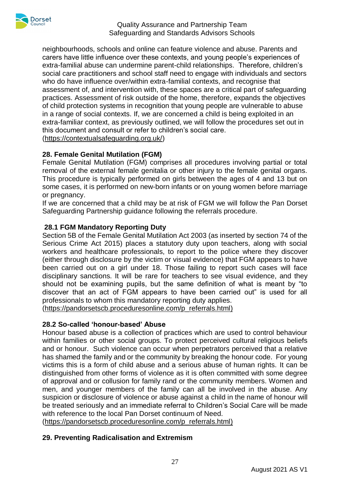

neighbourhoods, schools and online can feature violence and abuse. Parents and carers have little influence over these contexts, and young people's experiences of extra-familial abuse can undermine parent-child relationships. Therefore, children's social care practitioners and school staff need to engage with individuals and sectors who do have influence over/within extra-familial contexts, and recognise that assessment of, and intervention with, these spaces are a critical part of safeguarding practices. Assessment of risk outside of the home, therefore, expands the objectives of child protection systems in recognition that young people are vulnerable to abuse in a range of social contexts. If, we are concerned a child is being exploited in an extra-familiar context, as previously outlined, we will follow the procedures set out in this document and consult or refer to children's social care.

[\(https://contextualsafeguarding.org.uk/\)](https://contextualsafeguarding.org.uk/)

# **28. Female Genital Mutilation (FGM)**

Female Genital Mutilation (FGM) comprises all procedures involving partial or total removal of the external female genitalia or other injury to the female genital organs. This procedure is typically performed on girls between the ages of 4 and 13 but on some cases, it is performed on new-born infants or on young women before marriage or pregnancy.

If we are concerned that a child may be at risk of FGM we will follow the Pan Dorset Safeguarding Partnership guidance following the referrals procedure.

# **28.1 FGM Mandatory Reporting Duty**

Section 5B of the Female Genital Mutilation Act 2003 (as inserted by section 74 of the Serious Crime Act 2015) places a statutory duty upon teachers, along with social workers and healthcare professionals, to report to the police where they discover (either through disclosure by the victim or visual evidence) that FGM appears to have been carried out on a girl under 18. Those failing to report such cases will face disciplinary sanctions. It will be rare for teachers to see visual evidence, and they should not be examining pupils, but the same definition of what is meant by "to discover that an act of FGM appears to have been carried out" is used for all professionals to whom this mandatory reporting duty applies.

[\(https://pandorsetscb.proceduresonline.com/p\\_referrals.html\)](https://pandorsetscb.proceduresonline.com/p_referrals.html)

# **28.2 So-called 'honour-based' Abuse**

Honour based abuse is a collection of practices which are used to control behaviour within families or other social groups. To protect perceived cultural religious beliefs and or honour. Such violence can occur when perpetrators perceived that a relative has shamed the family and or the community by breaking the honour code. For young victims this is a form of child abuse and a serious abuse of human rights. It can be distinguished from other forms of violence as it is often committed with some degree of approval and or collusion for family rand or the community members. Women and men, and younger members of the family can all be involved in the abuse. Any suspicion or disclosure of violence or abuse against a child in the name of honour will be treated seriously and an immediate referral to Children's Social Care will be made with reference to the local Pan Dorset continuum of Need.

[\(https://pandorsetscb.proceduresonline.com/p\\_referrals.html\)](https://pandorsetscb.proceduresonline.com/p_referrals.html)

# **29. Preventing Radicalisation and Extremism**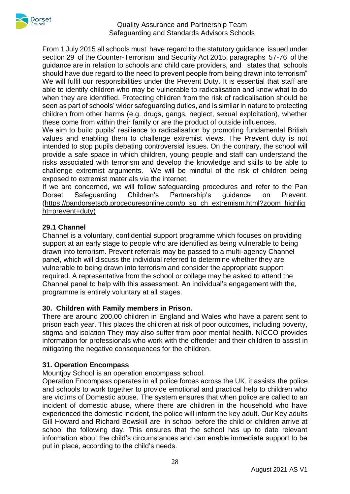

From 1 July 2015 all schools must have regard to the statutory guidance issued under section 29 of the Counter-Terrorism and Security Act 2015, paragraphs 57-76 of the guidance are in relation to schools and child care providers, and states that schools should have due regard to the need to prevent people from being drawn into terrorism" We will fulfil our responsibilities under the Prevent Duty. It is essential that staff are able to identify children who may be vulnerable to radicalisation and know what to do when they are identified. Protecting children from the risk of radicalisation should be seen as part of schools' wider safeguarding duties, and is similar in nature to protecting children from other harms (e.g. drugs, gangs, neglect, sexual exploitation), whether these come from within their family or are the product of outside influences.

We aim to build pupils' resilience to radicalisation by promoting fundamental British values and enabling them to challenge extremist views. The Prevent duty is not intended to stop pupils debating controversial issues. On the contrary, the school will provide a safe space in which children, young people and staff can understand the risks associated with terrorism and develop the knowledge and skills to be able to challenge extremist arguments. We will be mindful of the risk of children being exposed to extremist materials via the internet.

If we are concerned, we will follow safeguarding procedures and refer to the Pan Dorset Safeguarding Children's Partnership's guidance on Prevent. [\(https://pandorsetscb.proceduresonline.com/p\\_sg\\_ch\\_extremism.html?zoom\\_highlig](https://pandorsetscb.proceduresonline.com/p_sg_ch_extremism.html?zoom_highlight=prevent+duty) [ht=prevent+duty\)](https://pandorsetscb.proceduresonline.com/p_sg_ch_extremism.html?zoom_highlight=prevent+duty)

# **29.1 Channel**

Channel is a voluntary, confidential support programme which focuses on providing support at an early stage to people who are identified as being vulnerable to being drawn into terrorism. Prevent referrals may be passed to a multi-agency Channel panel, which will discuss the individual referred to determine whether they are vulnerable to being drawn into terrorism and consider the appropriate support required. A representative from the school or college may be asked to attend the Channel panel to help with this assessment. An individual's engagement with the, programme is entirely voluntary at all stages.

# **30. Children with Family members in Prison.**

There are around 200,00 children in England and Wales who have a parent sent to prison each year. This places the children at risk of poor outcomes, including poverty, stigma and isolation They may also suffer from poor mental health. NICCO provides information for professionals who work with the offender and their children to assist in mitigating the negative consequences for the children.

# **31. Operation Encompass**

Mountjoy School is an operation encompass school.

Operation Encompass operates in all police forces across the UK, it assists the police and schools to work together to provide emotional and practical help to children who are victims of Domestic abuse. The system ensures that when police are called to an incident of domestic abuse, where there are children in the household who have experienced the domestic incident, the police will inform the key adult. Our Key adults Gill Howard and Richard Bowskill are in school before the child or children arrive at school the following day. This ensures that the school has up to date relevant information about the child's circumstances and can enable immediate support to be put in place, according to the child's needs.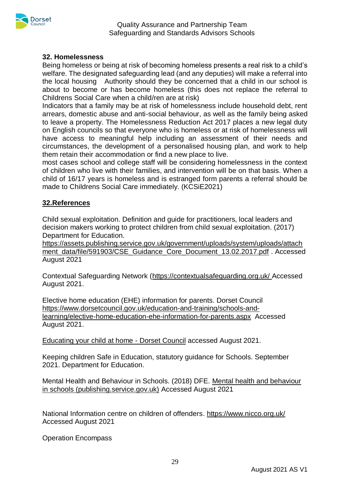

#### **32. Homelessness**

Being homeless or being at risk of becoming homeless presents a real risk to a child's welfare. The designated safeguarding lead (and any deputies) will make a referral into the local housing Authority should they be concerned that a child in our school is about to become or has become homeless (this does not replace the referral to Childrens Social Care when a child/ren are at risk)

Indicators that a family may be at risk of homelessness include household debt, rent arrears, domestic abuse and anti-social behaviour, as well as the family being asked to leave a property. The Homelessness Reduction Act 2017 places a new legal duty on English councils so that everyone who is homeless or at risk of homelessness will have access to meaningful help including an assessment of their needs and circumstances, the development of a personalised housing plan, and work to help them retain their accommodation or find a new place to live.

most cases school and college staff will be considering homelessness in the context of children who live with their families, and intervention will be on that basis. When a child of 16/17 years is homeless and is estranged form parents a referral should be made to Childrens Social Care immediately. (KCSiE2021)

#### **32.References**

Child sexual exploitation. Definition and guide for practitioners, local leaders and decision makers working to protect children from child sexual exploitation. (2017) Department for Education.

[https://assets.publishing.service.gov.uk/government/uploads/system/uploads/attach](https://assets.publishing.service.gov.uk/government/uploads/system/uploads/attachment_data/file/591903/CSE_Guidance_Core_Document_13.02.2017.pdf) [ment\\_data/file/591903/CSE\\_Guidance\\_Core\\_Document\\_13.02.2017.pdf](https://assets.publishing.service.gov.uk/government/uploads/system/uploads/attachment_data/file/591903/CSE_Guidance_Core_Document_13.02.2017.pdf) . Accessed August 2021

Contextual Safeguarding Network [\(https://contextualsafeguarding.org.uk/](https://contextualsafeguarding.org.uk/) Accessed August 2021.

Elective home education (EHE) information for parents. Dorset Council [https://www.dorsetcouncil.gov.uk/education-and-training/schools-and](https://www.dorsetcouncil.gov.uk/education-and-training/schools-and-learning/elective-home-education-ehe-information-for-parents.aspx)[learning/elective-home-education-ehe-information-for-parents.aspx](https://www.dorsetcouncil.gov.uk/education-and-training/schools-and-learning/elective-home-education-ehe-information-for-parents.aspx)Accessed August 2021.

[Educating your child at home -](https://www.dorsetcouncil.gov.uk/education-and-training/schools-and-learning/elective-home-education-ehe-information-for-parents) Dorset Council accessed August 2021.

Keeping children Safe in Education, statutory guidance for Schools. September 2021. Department for Education.

Mental Health and Behaviour in Schools. (2018) DFE. [Mental health and behaviour](https://assets.publishing.service.gov.uk/government/uploads/system/uploads/attachment_data/file/755135/Mental_health_and_behaviour_in_schools__.pdf)  [in schools \(publishing.service.gov.uk\)](https://assets.publishing.service.gov.uk/government/uploads/system/uploads/attachment_data/file/755135/Mental_health_and_behaviour_in_schools__.pdf) Accessed August 2021

National Information centre on children of offenders.<https://www.nicco.org.uk/> Accessed August 2021

Operation Encompass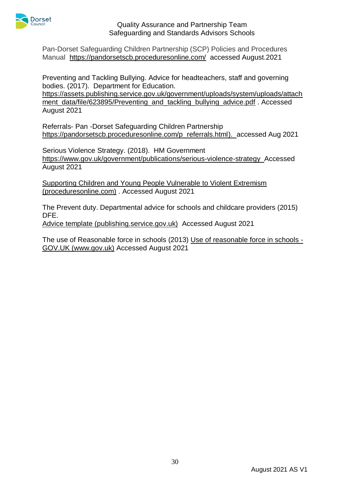

Pan-Dorset Safeguarding Children Partnership (SCP) Policies and Procedures Manual <https://pandorsetscb.proceduresonline.com/>accessed August.2021

Preventing and Tackling Bullying. Advice for headteachers, staff and governing bodies. (2017). Department for Education. [https://assets.publishing.service.gov.uk/government/uploads/system/uploads/attach](https://assets.publishing.service.gov.uk/government/uploads/system/uploads/attachment_data/file/623895/Preventing_and_tackling_bullying_advice.pdf) [ment\\_data/file/623895/Preventing\\_and\\_tackling\\_bullying\\_advice.pdf](https://assets.publishing.service.gov.uk/government/uploads/system/uploads/attachment_data/file/623895/Preventing_and_tackling_bullying_advice.pdf) . Accessed August 2021

Referrals- Pan -Dorset Safeguarding Children Partnership [https://pandorsetscb.proceduresonline.com/p\\_referrals.html\)](https://pandorsetscb.proceduresonline.com/p_referrals.html). accessed Aug 2021

Serious Violence Strategy. (2018). HM Government <https://www.gov.uk/government/publications/serious-violence-strategy>Accessed August 2021

[Supporting Children and Young People Vulnerable to Violent Extremism](https://pandorsetscb.proceduresonline.com/p_sg_ch_extremism.html)  [\(proceduresonline.com\)](https://pandorsetscb.proceduresonline.com/p_sg_ch_extremism.html) . Accessed August 2021

The Prevent duty. Departmental advice for schools and childcare providers (2015) DFE.

[Advice template \(publishing.service.gov.uk\)](https://assets.publishing.service.gov.uk/government/uploads/system/uploads/attachment_data/file/439598/prevent-duty-departmental-advice-v6.pdf) Accessed August 2021

The use of Reasonable force in schools (2013) Use of reasonable force in schools -GOV.UK (www.gov.uk) Accessed August 2021